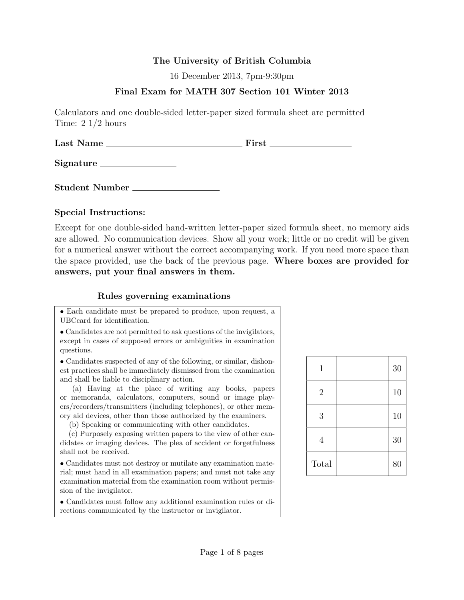### The University of British Columbia

16 December 2013, 7pm-9:30pm

## Final Exam for MATH 307 Section 101 Winter 2013

Calculators and one double-sided letter-paper sized formula sheet are permitted Time: 2 1/2 hours

Last Name First

Signature

Student Number

#### Special Instructions:

Except for one double-sided hand-written letter-paper sized formula sheet, no memory aids are allowed. No communication devices. Show all your work; little or no credit will be given for a numerical answer without the correct accompanying work. If you need more space than the space provided, use the back of the previous page. Where boxes are provided for answers, put your final answers in them.

### Rules governing examinations

• Each candidate must be prepared to produce, upon request, a UBCcard for identification.

• Candidates are not permitted to ask questions of the invigilators, except in cases of supposed errors or ambiguities in examination questions.

• Candidates suspected of any of the following, or similar, dishonest practices shall be immediately dismissed from the examination and shall be liable to disciplinary action.

(a) Having at the place of writing any books, papers or memoranda, calculators, computers, sound or image players/recorders/transmitters (including telephones), or other memory aid devices, other than those authorized by the examiners.

(b) Speaking or communicating with other candidates.

(c) Purposely exposing written papers to the view of other candidates or imaging devices. The plea of accident or forgetfulness shall not be received.

• Candidates must not destroy or mutilate any examination material; must hand in all examination papers; and must not take any examination material from the examination room without permission of the invigilator.

• Candidates must follow any additional examination rules or directions communicated by the instructor or invigilator.

| 1              | 30 |
|----------------|----|
| $\overline{2}$ | 10 |
| 3              | 10 |
| 4              | 30 |
| Total          | 80 |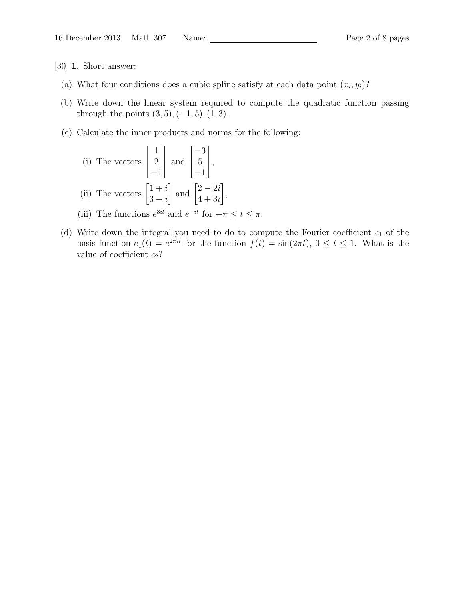[30] 1. Short answer:

- (a) What four conditions does a cubic spline satisfy at each data point  $(x_i, y_i)$ ?
- (b) Write down the linear system required to compute the quadratic function passing through the points  $(3, 5), (-1, 5), (1, 3)$ .
- (c) Calculate the inner products and norms for the following:

(i) The vectors 
$$
\begin{bmatrix} 1 \\ 2 \\ -1 \end{bmatrix}
$$
 and  $\begin{bmatrix} -3 \\ 5 \\ -1 \end{bmatrix}$ ,  
(ii) The vectors  $\begin{bmatrix} 1+i \\ 3-i \end{bmatrix}$  and  $\begin{bmatrix} 2-2i \\ 4+3i \end{bmatrix}$ ,

(iii) The functions  $e^{3it}$  and  $e^{-it}$  for  $-\pi \leq t \leq \pi$ .

(d) Write down the integral you need to do to compute the Fourier coefficient  $c_1$  of the basis function  $e_1(t) = e^{2\pi i t}$  for the function  $f(t) = \sin(2\pi t)$ ,  $0 \le t \le 1$ . What is the value of coefficient  $c_2$ ?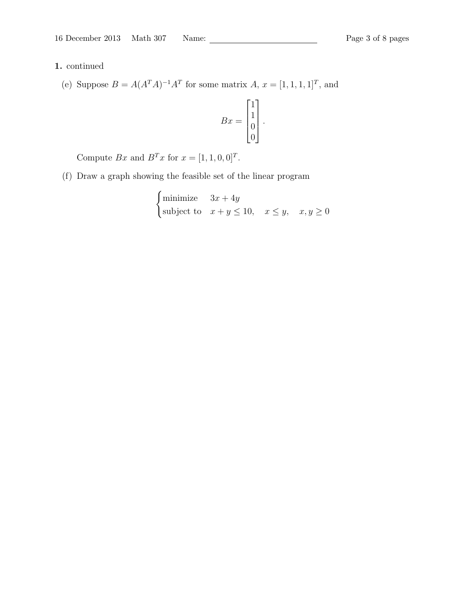# 1. continued

(e) Suppose  $B = A(A^T A)^{-1} A^T$  for some matrix  $A, x = [1, 1, 1, 1]^T$ , and

$$
Bx = \begin{bmatrix} 1 \\ 1 \\ 0 \\ 0 \end{bmatrix}.
$$

Compute Bx and  $B<sup>T</sup>x$  for  $x = [1, 1, 0, 0]<sup>T</sup>$ .

(f) Draw a graph showing the feasible set of the linear program

$$
\begin{cases}\n\text{minimize} & 3x + 4y \\
\text{subject to} & x + y \le 10, \quad x \le y, \quad x, y \ge 0\n\end{cases}
$$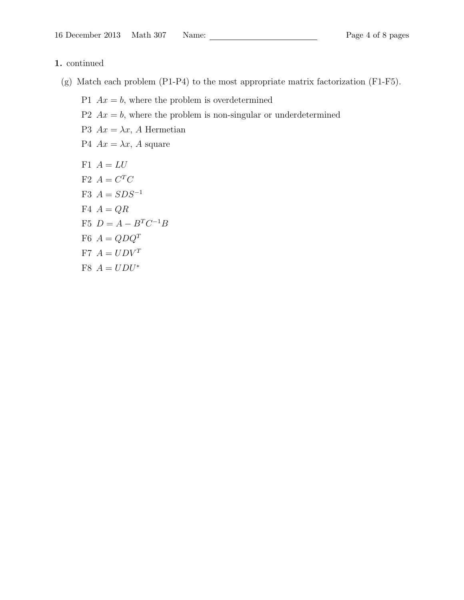#### 1. continued

- (g) Match each problem (P1-P4) to the most appropriate matrix factorization (F1-F5).
	- P1  $Ax = b$ , where the problem is overdetermined
	- P2  $Ax = b$ , where the problem is non-singular or underdetermined
	- P3  $Ax = \lambda x$ , A Hermetian
	- P4  $Ax = \lambda x$ , A square
	- F1  $A = LU$  $F2 A = C^T C$ F3  $A = SDS^{-1}$ F4  $A = QR$ F5  $D = A - B^T C^{-1} B$ F6  $A = QDQ^T$ F7  $A = UDV^T$ F8  $A = UDU^*$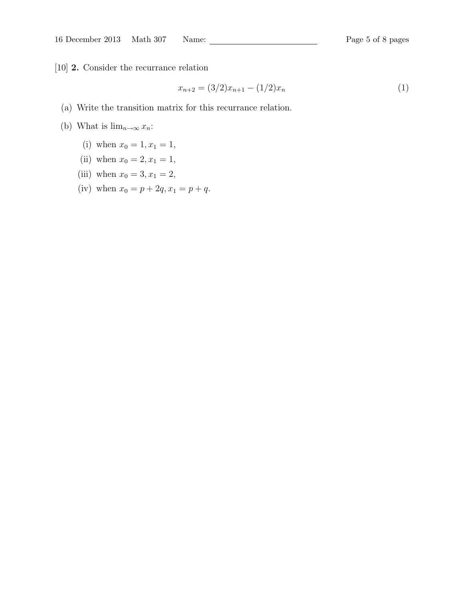[10] 2. Consider the recurrance relation

$$
x_{n+2} = (3/2)x_{n+1} - (1/2)x_n \tag{1}
$$

- (a) Write the transition matrix for this recurrance relation.
- (b) What is  $\lim_{n\to\infty}x_n$ :
	- (i) when  $x_0 = 1, x_1 = 1$ ,
	- (ii) when  $x_0 = 2, x_1 = 1$ ,
	- (iii) when  $x_0 = 3, x_1 = 2$ ,
	- (iv) when  $x_0 = p + 2q, x_1 = p + q$ .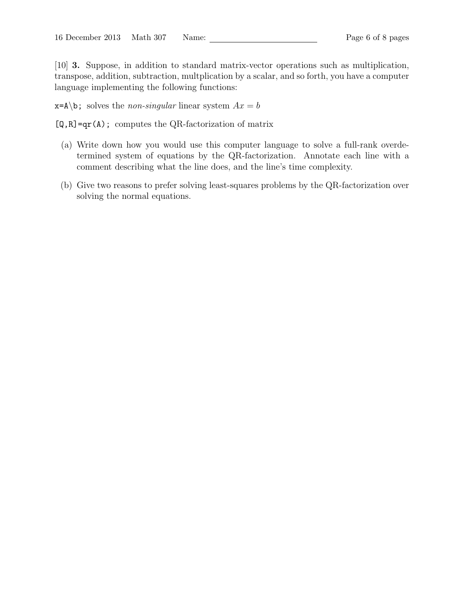[10] 3. Suppose, in addition to standard matrix-vector operations such as multiplication, transpose, addition, subtraction, multplication by a scalar, and so forth, you have a computer language implementing the following functions:

 $x = A \cdot b$ ; solves the *non-singular* linear system  $Ax = b$ 

 $[Q,R]=qr(A)$ ; computes the QR-factorization of matrix

- (a) Write down how you would use this computer language to solve a full-rank overdetermined system of equations by the QR-factorization. Annotate each line with a comment describing what the line does, and the line's time complexity.
- (b) Give two reasons to prefer solving least-squares problems by the QR-factorization over solving the normal equations.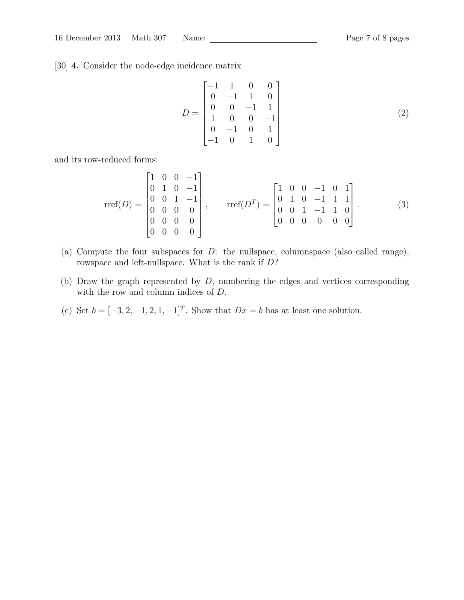[30] 4. Consider the node-edge incidence matrix

$$
D = \begin{bmatrix} -1 & 1 & 0 & 0 \\ 0 & -1 & 1 & 0 \\ 0 & 0 & -1 & 1 \\ 1 & 0 & 0 & -1 \\ 0 & -1 & 0 & 1 \\ -1 & 0 & 1 & 0 \end{bmatrix}
$$
 (2)

and its row-reduced forms:

$$
\text{rref}(D) = \begin{bmatrix} 1 & 0 & 0 & -1 \\ 0 & 1 & 0 & -1 \\ 0 & 0 & 1 & -1 \\ 0 & 0 & 0 & 0 \\ 0 & 0 & 0 & 0 \\ 0 & 0 & 0 & 0 \end{bmatrix}, \quad \text{rref}(D^T) = \begin{bmatrix} 1 & 0 & 0 & -1 & 0 & 1 \\ 0 & 1 & 0 & -1 & 1 & 1 \\ 0 & 0 & 1 & -1 & 1 & 0 \\ 0 & 0 & 0 & 0 & 0 & 0 \end{bmatrix}.
$$
 (3)

- (a) Compute the four subspaces for  $D$ : the nullspace, columnspace (also called range), rowspace and left-nullspace. What is the rank if D?
- (b) Draw the graph represented by  $D$ , numbering the edges and vertices corresponding with the row and column indices of D.
- (c) Set  $b = [-3, 2, -1, 2, 1, -1]^T$ . Show that  $Dx = b$  has at least one solution.